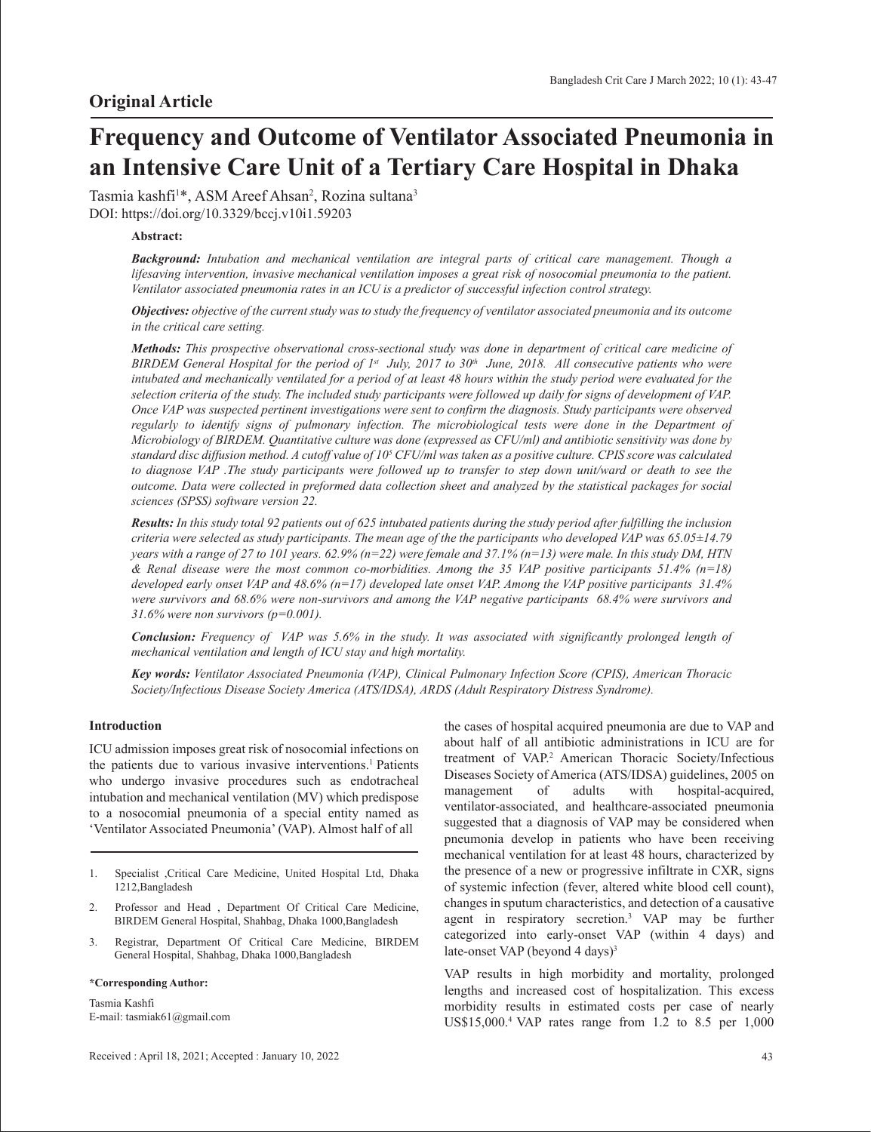# **Frequency and Outcome of Ventilator Associated Pneumonia in an Intensive Care Unit of a Tertiary Care Hospital in Dhaka**

Tasmia kashfi<sup>1\*</sup>, ASM Areef Ahsan<sup>2</sup>, Rozina sultana<sup>3</sup> DOI: https://doi.org/10.3329/bccj.v10i1.59203

## **Abstract:**

*Background: Intubation and mechanical ventilation are integral parts of critical care management. Though a lifesaving intervention, invasive mechanical ventilation imposes a great risk of nosocomial pneumonia to the patient. Ventilator associated pneumonia rates in an ICU is a predictor of successful infection control strategy.*

*Objectives: objective of the current study was to study the frequency of ventilator associated pneumonia and its outcome in the critical care setting.*

*Methods: This prospective observational cross-sectional study was done in department of critical care medicine of BIRDEM General Hospital for the period of 1st July, 2017 to 30<sup>th</sup> June, 2018. All consecutive patients who were intubated and mechanically ventilated for a period of at least 48 hours within the study period were evaluated for the selection criteria of the study. The included study participants were followed up daily for signs of development of VAP. Once VAP was suspected pertinent investigations were sent to confirm the diagnosis. Study participants were observed regularly to identify signs of pulmonary infection. The microbiological tests were done in the Department of Microbiology of BIRDEM. Quantitative culture was done (expressed as CFU/ml) and antibiotic sensitivity was done by standard disc diffusion method. A cutoff value of 105 CFU/ml was taken as a positive culture. CPIS score was calculated to diagnose VAP .The study participants were followed up to transfer to step down unit/ward or death to see the outcome. Data were collected in preformed data collection sheet and analyzed by the statistical packages for social sciences (SPSS) software version 22.* 

*Results: In this study total 92 patients out of 625 intubated patients during the study period after fulfilling the inclusion criteria were selected as study participants. The mean age of the the participants who developed VAP was 65.05±14.79 years with a range of 27 to 101 years. 62.9% (n=22) were female and 37.1% (n=13) were male. In this study DM, HTN & Renal disease were the most common co-morbidities. Among the 35 VAP positive participants 51.4% (n=18) developed early onset VAP and 48.6% (n=17) developed late onset VAP. Among the VAP positive participants 31.4% were survivors and 68.6% were non-survivors and among the VAP negative participants 68.4% were survivors and 31.6% were non survivors (p=0.001).*

*Conclusion: Frequency of VAP was 5.6% in the study. It was associated with significantly prolonged length of mechanical ventilation and length of ICU stay and high mortality.*

*Key words: Ventilator Associated Pneumonia (VAP), Clinical Pulmonary Infection Score (CPIS), American Thoracic Society/Infectious Disease Society America (ATS/IDSA), ARDS (Adult Respiratory Distress Syndrome).*

#### **Introduction**

ICU admission imposes great risk of nosocomial infections on the patients due to various invasive interventions.<sup>1</sup> Patients who undergo invasive procedures such as endotracheal intubation and mechanical ventilation (MV) which predispose to a nosocomial pneumonia of a special entity named as 'Ventilator Associated Pneumonia' (VAP). Almost half of all

- 1. Specialist ,Critical Care Medicine, United Hospital Ltd, Dhaka 1212,Bangladesh
- 2. Professor and Head , Department Of Critical Care Medicine, BIRDEM General Hospital, Shahbag, Dhaka 1000,Bangladesh
- 3. Registrar, Department Of Critical Care Medicine, BIRDEM General Hospital, Shahbag, Dhaka 1000,Bangladesh

#### **\*Corresponding Author:**

Tasmia Kashfi E-mail: tasmiak61@gmail.com the cases of hospital acquired pneumonia are due to VAP and about half of all antibiotic administrations in ICU are for treatment of VAP.2 American Thoracic Society/Infectious Diseases Society of America (ATS/IDSA) guidelines, 2005 on management of adults with hospital-acquired, ventilator-associated, and healthcare-associated pneumonia suggested that a diagnosis of VAP may be considered when pneumonia develop in patients who have been receiving mechanical ventilation for at least 48 hours, characterized by the presence of a new or progressive infiltrate in CXR, signs of systemic infection (fever, altered white blood cell count), changes in sputum characteristics, and detection of a causative agent in respiratory secretion.3 VAP may be further categorized into early-onset VAP (within 4 days) and late-onset VAP (beyond 4 days)<sup>3</sup>

VAP results in high morbidity and mortality, prolonged lengths and increased cost of hospitalization. This excess morbidity results in estimated costs per case of nearly US\$15,000.4 VAP rates range from 1.2 to 8.5 per 1,000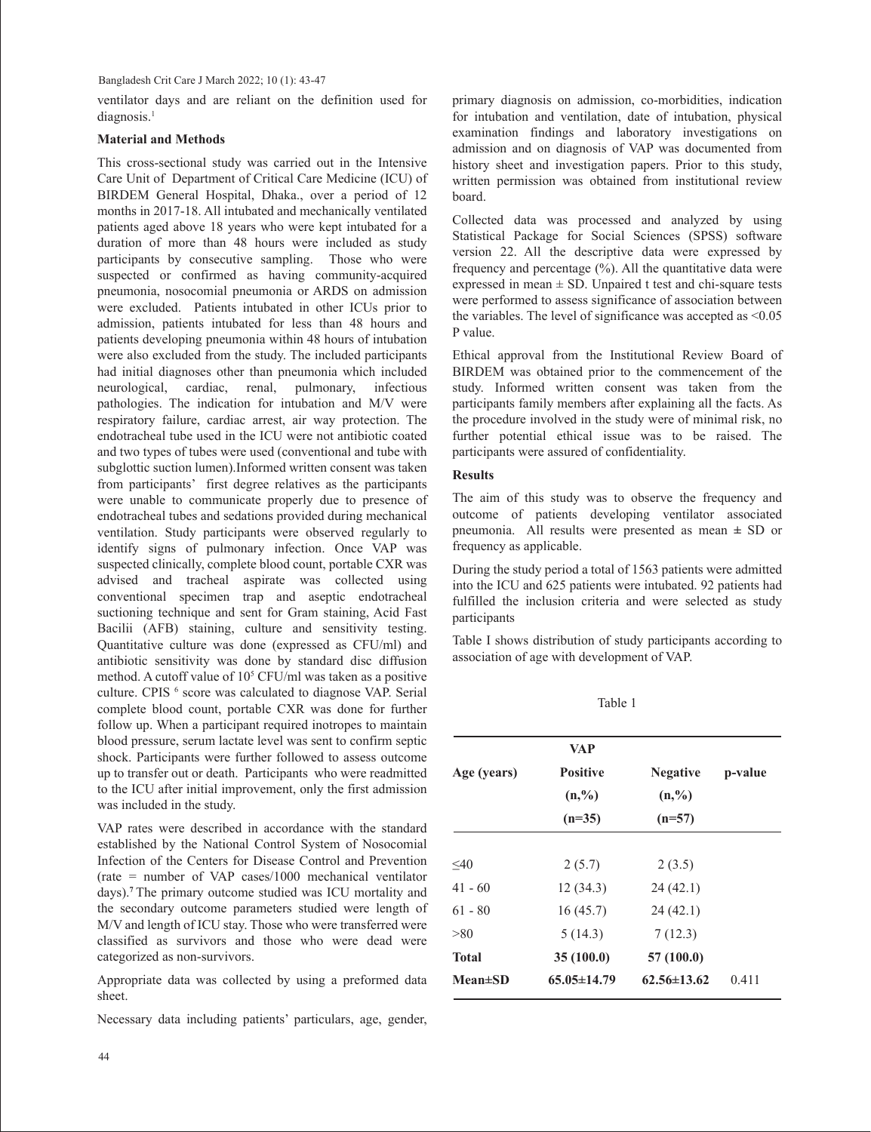Bangladesh Crit Care J March 2022; 10 (1): 43-47

ventilator days and are reliant on the definition used for diagnosis.<sup>1</sup>

# **Material and Methods**

This cross-sectional study was carried out in the Intensive Care Unit of Department of Critical Care Medicine (ICU) of BIRDEM General Hospital, Dhaka., over a period of 12 months in 2017-18. All intubated and mechanically ventilated patients aged above 18 years who were kept intubated for a duration of more than 48 hours were included as study participants by consecutive sampling. Those who were suspected or confirmed as having community-acquired pneumonia, nosocomial pneumonia or ARDS on admission were excluded. Patients intubated in other ICUs prior to admission, patients intubated for less than 48 hours and patients developing pneumonia within 48 hours of intubation were also excluded from the study. The included participants had initial diagnoses other than pneumonia which included neurological, cardiac, renal, pulmonary, infectious pathologies. The indication for intubation and M/V were respiratory failure, cardiac arrest, air way protection. The endotracheal tube used in the ICU were not antibiotic coated and two types of tubes were used (conventional and tube with subglottic suction lumen).Informed written consent was taken from participants' first degree relatives as the participants were unable to communicate properly due to presence of endotracheal tubes and sedations provided during mechanical ventilation. Study participants were observed regularly to identify signs of pulmonary infection. Once VAP was suspected clinically, complete blood count, portable CXR was advised and tracheal aspirate was collected using conventional specimen trap and aseptic endotracheal suctioning technique and sent for Gram staining, Acid Fast Bacilii (AFB) staining, culture and sensitivity testing. Quantitative culture was done (expressed as CFU/ml) and antibiotic sensitivity was done by standard disc diffusion method. A cutoff value of  $10<sup>5</sup>$  CFU/ml was taken as a positive culture. CPIS <sup>6</sup> score was calculated to diagnose VAP. Serial complete blood count, portable CXR was done for further follow up. When a participant required inotropes to maintain blood pressure, serum lactate level was sent to confirm septic shock. Participants were further followed to assess outcome up to transfer out or death. Participants who were readmitted to the ICU after initial improvement, only the first admission was included in the study.

VAP rates were described in accordance with the standard established by the National Control System of Nosocomial Infection of the Centers for Disease Control and Prevention (rate = number of VAP cases/1000 mechanical ventilator days).**<sup>7</sup>**The primary outcome studied was ICU mortality and the secondary outcome parameters studied were length of M/V and length of ICU stay. Those who were transferred were classified as survivors and those who were dead were categorized as non-survivors.

Appropriate data was collected by using a preformed data sheet.

Necessary data including patients' particulars, age, gender,

primary diagnosis on admission, co-morbidities, indication for intubation and ventilation, date of intubation, physical examination findings and laboratory investigations on admission and on diagnosis of VAP was documented from history sheet and investigation papers. Prior to this study, written permission was obtained from institutional review board.

Collected data was processed and analyzed by using Statistical Package for Social Sciences (SPSS) software version 22. All the descriptive data were expressed by frequency and percentage (%). All the quantitative data were expressed in mean  $\pm$  SD. Unpaired t test and chi-square tests were performed to assess significance of association between the variables. The level of significance was accepted as <0.05 P value.

Ethical approval from the Institutional Review Board of BIRDEM was obtained prior to the commencement of the study. Informed written consent was taken from the participants family members after explaining all the facts. As the procedure involved in the study were of minimal risk, no further potential ethical issue was to be raised. The participants were assured of confidentiality.

# **Results**

The aim of this study was to observe the frequency and outcome of patients developing ventilator associated pneumonia. All results were presented as mean **±** SD or frequency as applicable.

During the study period a total of 1563 patients were admitted into the ICU and 625 patients were intubated. 92 patients had fulfilled the inclusion criteria and were selected as study participants

Table I shows distribution of study participants according to association of age with development of VAP.

Table 1

|                | <b>VAP</b>        |                   |         |
|----------------|-------------------|-------------------|---------|
| Age (years)    | <b>Positive</b>   | <b>Negative</b>   | p-value |
|                | (n, %)            | $(n, \%)$         |         |
|                | $(n=35)$          | $(n=57)$          |         |
|                |                   |                   |         |
| $<$ 40         | 2(5.7)            | 2(3.5)            |         |
| $41 - 60$      | 12(34.3)          | 24(42.1)          |         |
| $61 - 80$      | 16(45.7)          | 24(42.1)          |         |
| > 80           | 5(14.3)           | 7(12.3)           |         |
| <b>Total</b>   | 35 (100.0)        | 57 (100.0)        |         |
| <b>Mean±SD</b> | $65.05 \pm 14.79$ | $62.56 \pm 13.62$ | 0.411   |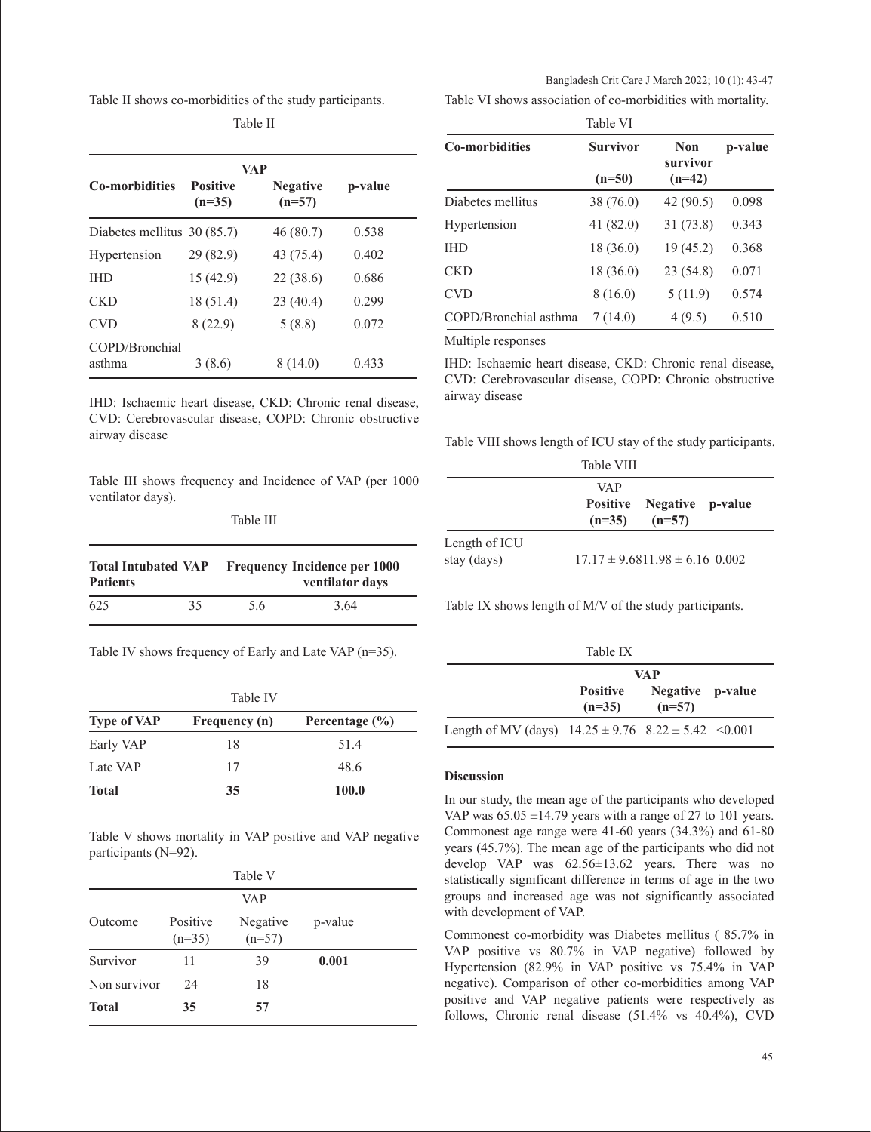Table II shows co-morbidities of the study participants.

| VAP                         |                             |                             |         |  |
|-----------------------------|-----------------------------|-----------------------------|---------|--|
| <b>Co-morbidities</b>       | <b>Positive</b><br>$(n=35)$ | <b>Negative</b><br>$(n=57)$ | p-value |  |
| Diabetes mellitus 30 (85.7) |                             | 46 (80.7)                   | 0.538   |  |
| Hypertension                | 29 (82.9)                   | 43 (75.4)                   | 0.402   |  |
| <b>IHD</b>                  | 15(42.9)                    | 22 (38.6)                   | 0.686   |  |
| <b>CKD</b>                  | 18 (51.4)                   | 23(40.4)                    | 0.299   |  |
| <b>CVD</b>                  | 8(22.9)                     | 5(8.8)                      | 0.072   |  |
| COPD/Bronchial<br>asthma    | 3(8.6)                      | 8 (14.0)                    | 0.433   |  |

Table II

IHD: Ischaemic heart disease, CKD: Chronic renal disease, CVD: Cerebrovascular disease, COPD: Chronic obstructive airway disease

Table III shows frequency and Incidence of VAP (per 1000 ventilator days).

| <b>Total Intubated VAP</b> |    | <b>Frequency Incidence per 1000</b> |      |  |
|----------------------------|----|-------------------------------------|------|--|
| <b>Patients</b>            |    | ventilator days                     |      |  |
| 625                        | 35 | 5.6                                 | 3.64 |  |

Table IV shows frequency of Early and Late VAP (n=35).

| Table IV           |               |                    |  |
|--------------------|---------------|--------------------|--|
| <b>Type of VAP</b> | Frequency (n) | Percentage $(\% )$ |  |
| Early VAP          | 18            | 51.4               |  |
| Late VAP           | 17            | 48.6               |  |
| Total              | 35            | 100.0              |  |

Table V shows mortality in VAP positive and VAP negative participants (N=92).

|              |                      | Table V              |         |  |
|--------------|----------------------|----------------------|---------|--|
|              |                      | <b>VAP</b>           |         |  |
| Outcome      | Positive<br>$(n=35)$ | Negative<br>$(n=57)$ | p-value |  |
| Survivor     | 11                   | 39                   | 0.001   |  |
| Non survivor | 24                   | 18                   |         |  |
| <b>Total</b> | 35                   | 57                   |         |  |

Table VI shows association of co-morbidities with mortality. Bangladesh Crit Care J March 2022; 10 (1): 43-47

| Table VI              |                 |                        |         |
|-----------------------|-----------------|------------------------|---------|
| <b>Co-morbidities</b> | <b>Survivor</b> | <b>Non</b><br>survivor | p-value |
|                       | $(n=50)$        | $(n=42)$               |         |
| Diabetes mellitus     | 38 (76.0)       | 42 (90.5)              | 0.098   |
| Hypertension          | 41 (82.0)       | 31 (73.8)              | 0.343   |
| <b>IHD</b>            | 18 (36.0)       | 19(45.2)               | 0.368   |
| <b>CKD</b>            | 18 (36.0)       | 23 (54.8)              | 0.071   |
| <b>CVD</b>            | 8(16.0)         | 5(11.9)                | 0.574   |
| COPD/Bronchial asthma | 7(14.0)         | 4(9.5)                 | 0.510   |

Multiple responses

IHD: Ischaemic heart disease, CKD: Chronic renal disease, CVD: Cerebrovascular disease, COPD: Chronic obstructive airway disease

Table VIII shows length of ICU stay of the study participants.

|                              | Table VIII                                            |
|------------------------------|-------------------------------------------------------|
|                              | VAP<br>Positive Negative p-value<br>$(n=35)$ $(n=57)$ |
| Length of ICU<br>stay (days) | $17.17 \pm 9.6811.98 \pm 6.16$ 0.002                  |

Table IX shows length of M/V of the study participants.

| Table IX                                                    |                      |                              |  |
|-------------------------------------------------------------|----------------------|------------------------------|--|
|                                                             |                      | <b>VAP</b>                   |  |
|                                                             | Positive<br>$(n=35)$ | Negative p-value<br>$(n=57)$ |  |
| Length of MV (days) $14.25 \pm 9.76$ $8.22 \pm 5.42$ <0.001 |                      |                              |  |

#### **Discussion**

In our study, the mean age of the participants who developed VAP was  $65.05 \pm 14.79$  years with a range of 27 to 101 years. Commonest age range were 41-60 years (34.3%) and 61-80 years (45.7%). The mean age of the participants who did not develop VAP was 62.56±13.62 years. There was no statistically significant difference in terms of age in the two groups and increased age was not significantly associated with development of VAP.

Commonest co-morbidity was Diabetes mellitus ( 85.7% in VAP positive vs 80.7% in VAP negative) followed by Hypertension (82.9% in VAP positive vs 75.4% in VAP negative). Comparison of other co-morbidities among VAP positive and VAP negative patients were respectively as follows, Chronic renal disease (51.4% vs 40.4%), CVD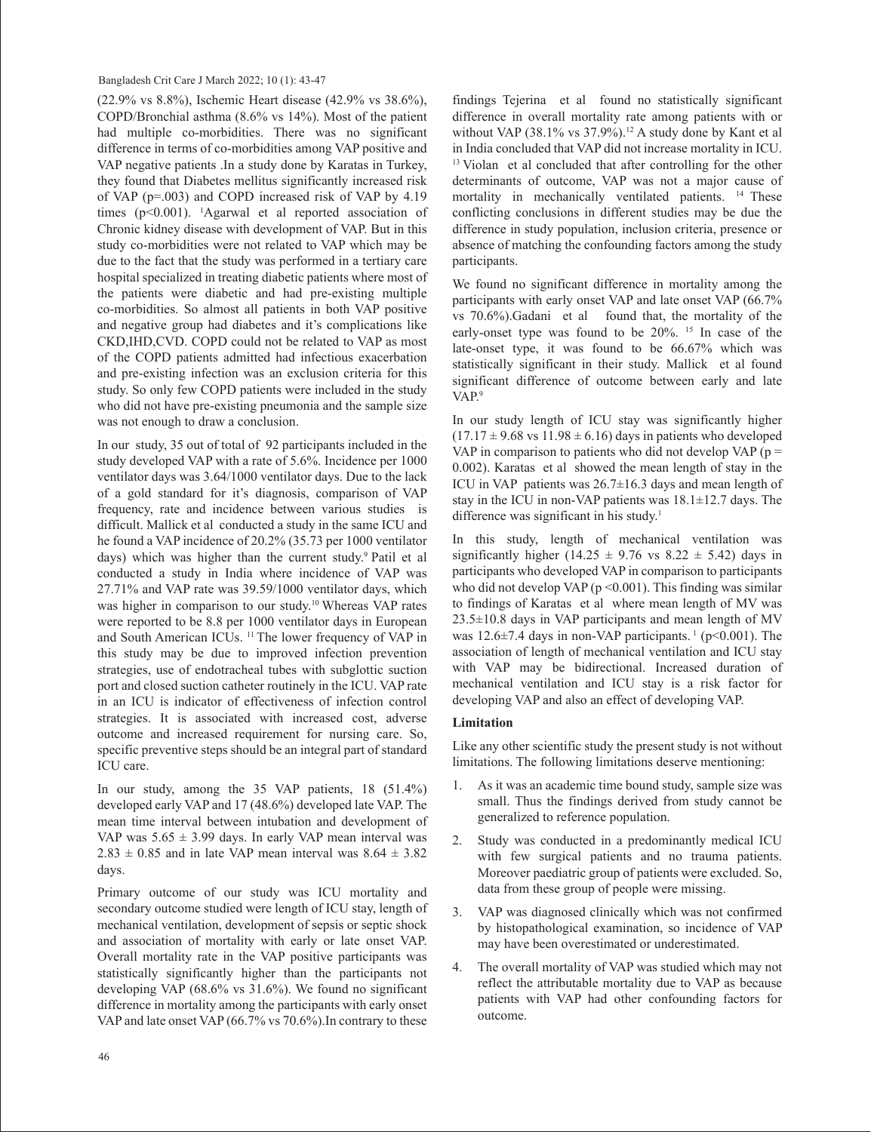(22.9% vs 8.8%), Ischemic Heart disease (42.9% vs 38.6%), COPD/Bronchial asthma (8.6% vs 14%). Most of the patient had multiple co-morbidities. There was no significant difference in terms of co-morbidities among VAP positive and VAP negative patients .In a study done by Karatas in Turkey, they found that Diabetes mellitus significantly increased risk of VAP (p=.003) and COPD increased risk of VAP by 4.19 times (p<0.001). 1 Agarwal et al reported association of Chronic kidney disease with development of VAP. But in this study co-morbidities were not related to VAP which may be due to the fact that the study was performed in a tertiary care hospital specialized in treating diabetic patients where most of the patients were diabetic and had pre-existing multiple co-morbidities. So almost all patients in both VAP positive and negative group had diabetes and it's complications like CKD,IHD,CVD. COPD could not be related to VAP as most of the COPD patients admitted had infectious exacerbation and pre-existing infection was an exclusion criteria for this study. So only few COPD patients were included in the study who did not have pre-existing pneumonia and the sample size was not enough to draw a conclusion.

In our study, 35 out of total of 92 participants included in the study developed VAP with a rate of 5.6%. Incidence per 1000 ventilator days was 3.64/1000 ventilator days. Due to the lack of a gold standard for it's diagnosis, comparison of VAP frequency, rate and incidence between various studies is difficult. Mallick et al conducted a study in the same ICU and he found a VAP incidence of 20.2% (35.73 per 1000 ventilator days) which was higher than the current study.<sup>9</sup> Patil et al conducted a study in India where incidence of VAP was 27.71% and VAP rate was 39.59/1000 ventilator days, which was higher in comparison to our study.10 Whereas VAP rates were reported to be 8.8 per 1000 ventilator days in European and South American ICUs. 11 The lower frequency of VAP in this study may be due to improved infection prevention strategies, use of endotracheal tubes with subglottic suction port and closed suction catheter routinely in the ICU. VAP rate in an ICU is indicator of effectiveness of infection control strategies. It is associated with increased cost, adverse outcome and increased requirement for nursing care. So, specific preventive steps should be an integral part of standard ICU care.

In our study, among the 35 VAP patients, 18 (51.4%) developed early VAP and 17 (48.6%) developed late VAP. The mean time interval between intubation and development of VAP was  $5.65 \pm 3.99$  days. In early VAP mean interval was  $2.83 \pm 0.85$  and in late VAP mean interval was  $8.64 \pm 3.82$ days.

Primary outcome of our study was ICU mortality and secondary outcome studied were length of ICU stay, length of mechanical ventilation, development of sepsis or septic shock and association of mortality with early or late onset VAP. Overall mortality rate in the VAP positive participants was statistically significantly higher than the participants not developing VAP (68.6% vs 31.6%). We found no significant difference in mortality among the participants with early onset VAP and late onset VAP (66.7% vs 70.6%).In contrary to these findings Tejerina et al found no statistically significant difference in overall mortality rate among patients with or without VAP  $(38.1\% \text{ vs } 37.9\%)$ .<sup>12</sup> A study done by Kant et al in India concluded that VAP did not increase mortality in ICU. <sup>13</sup> Violan et al concluded that after controlling for the other determinants of outcome, VAP was not a major cause of mortality in mechanically ventilated patients. <sup>14</sup> These conflicting conclusions in different studies may be due the difference in study population, inclusion criteria, presence or absence of matching the confounding factors among the study participants.

We found no significant difference in mortality among the participants with early onset VAP and late onset VAP (66.7% vs 70.6%).Gadani et al found that, the mortality of the early-onset type was found to be  $20\%$ . <sup>15</sup> In case of the late-onset type, it was found to be 66.67% which was statistically significant in their study. Mallick et al found significant difference of outcome between early and late VAP.9

In our study length of ICU stay was significantly higher  $(17.17 \pm 9.68 \text{ vs } 11.98 \pm 6.16)$  days in patients who developed VAP in comparison to patients who did not develop VAP ( $p =$ 0.002). Karatas et al showed the mean length of stay in the ICU in VAP patients was 26.7±16.3 days and mean length of stay in the ICU in non-VAP patients was 18.1±12.7 days. The difference was significant in his study.<sup>1</sup>

In this study, length of mechanical ventilation was significantly higher (14.25  $\pm$  9.76 vs 8.22  $\pm$  5.42) days in participants who developed VAP in comparison to participants who did not develop VAP ( $p \le 0.001$ ). This finding was similar to findings of Karatas et al where mean length of MV was 23.5±10.8 days in VAP participants and mean length of MV was  $12.6\pm7.4$  days in non-VAP participants.<sup>1</sup> ( $p<0.001$ ). The association of length of mechanical ventilation and ICU stay with VAP may be bidirectional. Increased duration of mechanical ventilation and ICU stay is a risk factor for developing VAP and also an effect of developing VAP.

## **Limitation**

Like any other scientific study the present study is not without limitations. The following limitations deserve mentioning:

- 1. As it was an academic time bound study, sample size was small. Thus the findings derived from study cannot be generalized to reference population.
- 2. Study was conducted in a predominantly medical ICU with few surgical patients and no trauma patients. Moreover paediatric group of patients were excluded. So, data from these group of people were missing.
- 3. VAP was diagnosed clinically which was not confirmed by histopathological examination, so incidence of VAP may have been overestimated or underestimated.
- 4. The overall mortality of VAP was studied which may not reflect the attributable mortality due to VAP as because patients with VAP had other confounding factors for outcome.